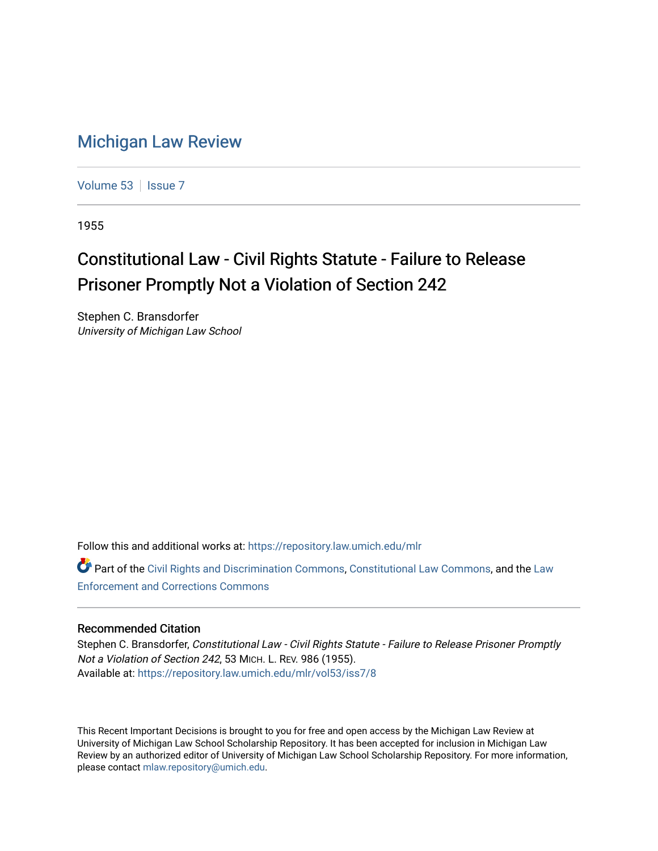## [Michigan Law Review](https://repository.law.umich.edu/mlr)

[Volume 53](https://repository.law.umich.edu/mlr/vol53) | [Issue 7](https://repository.law.umich.edu/mlr/vol53/iss7)

1955

## Constitutional Law - Civil Rights Statute - Failure to Release Prisoner Promptly Not a Violation of Section 242

Stephen C. Bransdorfer University of Michigan Law School

Follow this and additional works at: [https://repository.law.umich.edu/mlr](https://repository.law.umich.edu/mlr?utm_source=repository.law.umich.edu%2Fmlr%2Fvol53%2Fiss7%2F8&utm_medium=PDF&utm_campaign=PDFCoverPages) 

Part of the [Civil Rights and Discrimination Commons,](http://network.bepress.com/hgg/discipline/585?utm_source=repository.law.umich.edu%2Fmlr%2Fvol53%2Fiss7%2F8&utm_medium=PDF&utm_campaign=PDFCoverPages) [Constitutional Law Commons,](http://network.bepress.com/hgg/discipline/589?utm_source=repository.law.umich.edu%2Fmlr%2Fvol53%2Fiss7%2F8&utm_medium=PDF&utm_campaign=PDFCoverPages) and the [Law](http://network.bepress.com/hgg/discipline/854?utm_source=repository.law.umich.edu%2Fmlr%2Fvol53%2Fiss7%2F8&utm_medium=PDF&utm_campaign=PDFCoverPages) [Enforcement and Corrections Commons](http://network.bepress.com/hgg/discipline/854?utm_source=repository.law.umich.edu%2Fmlr%2Fvol53%2Fiss7%2F8&utm_medium=PDF&utm_campaign=PDFCoverPages) 

## Recommended Citation

Stephen C. Bransdorfer, Constitutional Law - Civil Rights Statute - Failure to Release Prisoner Promptly Not a Violation of Section 242, 53 MICH. L. REV. 986 (1955). Available at: [https://repository.law.umich.edu/mlr/vol53/iss7/8](https://repository.law.umich.edu/mlr/vol53/iss7/8?utm_source=repository.law.umich.edu%2Fmlr%2Fvol53%2Fiss7%2F8&utm_medium=PDF&utm_campaign=PDFCoverPages)

This Recent Important Decisions is brought to you for free and open access by the Michigan Law Review at University of Michigan Law School Scholarship Repository. It has been accepted for inclusion in Michigan Law Review by an authorized editor of University of Michigan Law School Scholarship Repository. For more information, please contact [mlaw.repository@umich.edu.](mailto:mlaw.repository@umich.edu)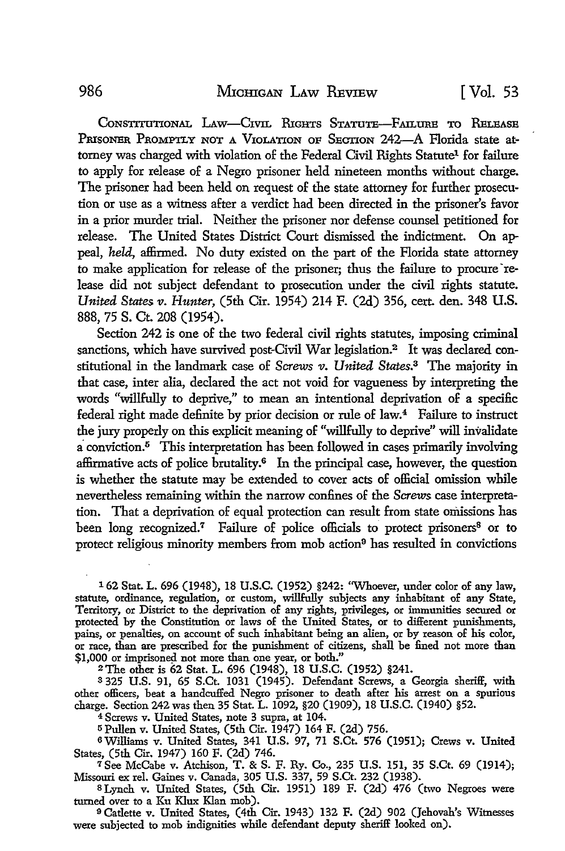CONSTITUTIONAL LAW-CIVIL RIGHTS STATUTE-FAILURE TO RELEASE PRISONER PROMPTLY NOT A VIOLATION OF SECTION 242-A Florida state attorney was charged with violation of the Federal Civil Rights Statute<sup>1</sup> for failure to apply for release of a Negro prisoner held nineteen months without charge. The prisoner had been held on request of the state attorney for further prosecution or use as a witness after a verdict had been directed in the prisoner's favor in a prior murder trial. Neither the prisoner nor defense counsel petitioned for release. The United States District Court dismissed the indictment. On appeal, *held,* affirmed. No duty existed on the part of the Florida state attorney to make application for release of the prisoner; thus the failure to procure release did not subject defendant to prosecution under the civil rights statute. *United States v. Hunter,* (5th Cir. 1954) 214 F. (2d) 356, cert. den. 348 U.S. 888, 75 S. Ct. 208 (1954).

Section 242 is one of the two federal civil rights statutes, imposing criminal sanctions, which have survived post-Civil War legislation.<sup>2</sup> It was declared constitutional in the landmark case of *Screws v. United* States.3 The majority in that case, inter alia, declared the act not void for vagueness by interpreting the words "willfully to deprive," to mean an intentional deprivation of a specific federal right made definite by prior decision or rule of law.<sup>4</sup> Failure to instruct the jury properly on this explicit meaning of "willfully to deprive" will invalidate a conviction.5 This interpretation has been followed in cases primarily involving affirmative acts of police brutality.6 In the principal case, however, the question is whether the statute may be extended to cover acts of official omission while nevertheless remaining within the narrow confines of the Screws case interpretation. That a deprivation of equal protection can result from state omissions has been long recognized.<sup>7</sup> Failure of police officials to protect prisoners<sup>8</sup> or to protect religious minority members from mob action9 has resulted in convictions

1 62 Stat. L. 696 (1948), 18 U.S.C. (1952) §242: "Whoever, under color of any law, statute, ordinance, regulation, or custom, willfully subjects any inhabitant of any State, Territory, or District to the deprivation of any rights, privileges, or immunities secured or protected by the Constitution or laws of the United States, or to different punishments, pains, or penalties, on account of such inhabitant being an alien, or by reason of his color, or race, than are prescribed for the punishment of citizens, shall be £ned not more than \$1,000 or imprisoned not more than one year, or both."

2The other is 62 Stat. L. 696 (1948), 18 U.S.C. (1952) §241.

<sup>3</sup>325 U.S. 91, 65 S.Ct. 1031 (1945). Defendant Screws, a Georgia sheriff, with other officers, beat a handcuffed Negro prisoner to death after his arrest on a spurious charge. Section 242 was then 35 Stat. L. 1092, §20 (1909), 18 U.S.C. (1940) §52.

4 Screws v. United States, note 3 supra, at 104.

<sup>5</sup>Pullen v. United States, (5th Cir. 1947) 164 F. (2d) 756.

6Williams v. United States, 341 U.S. 97, 71 S.Ct. 576 (1951); Crews v. United States, (5th Cir. 1947) 160 F. (2d) 746.

*<sup>1</sup>*See McCabe v. Atchison, T. & S. F. Ry. Co., 235 U.S. 151, 35 S.Ct. 69 (1914); Missouri ex rel. Gaines v. Canada, 305 U.S. 337, 59 S.Ct. 232 (1938).

s Lynch v. United States, (5th Cir. 1951) 189 F. (2d) 476 (two Negroes were turned over to a Ku Klux Klan mob).

<sup>9</sup>Catlette v. United States, (4th Cir. 1943) 132 F. (2d) 902 (Jehovah's Witnesses were subjected to mob indignities while defendant deputy sheriff looked on).